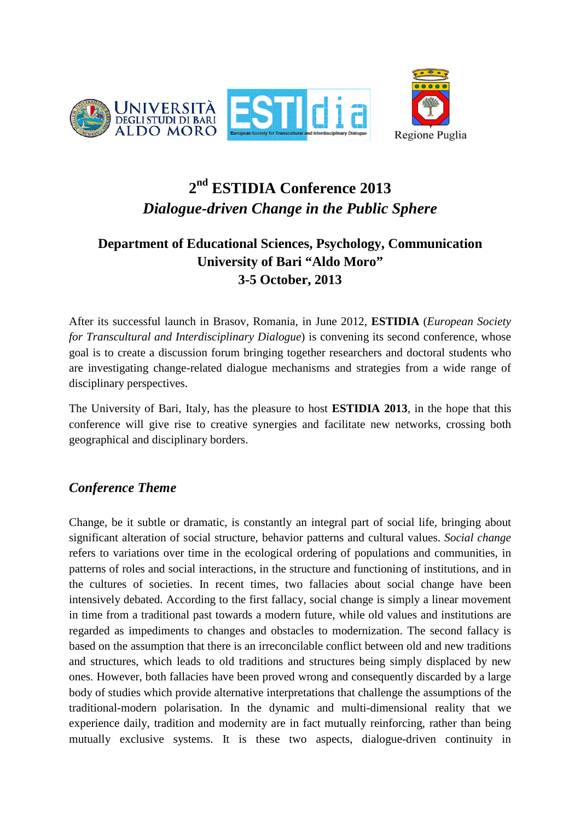



# **2 nd ESTIDIA Conference 2013**  *Dialogue-driven Change in the Public Sphere*

# **Department of Educational Sciences, Psychology, Communication University of Bari "Aldo Moro" 3-5 October, 2013**

After its successful launch in Brasov, Romania, in June 2012, **ESTIDIA** (*European Society for Transcultural and Interdisciplinary Dialogue*) is convening its second conference, whose goal is to create a discussion forum bringing together researchers and doctoral students who are investigating change-related dialogue mechanisms and strategies from a wide range of disciplinary perspectives.

The University of Bari, Italy, has the pleasure to host **ESTIDIA 2013**, in the hope that this conference will give rise to creative synergies and facilitate new networks, crossing both geographical and disciplinary borders.

### *Conference Theme*

Change, be it subtle or dramatic, is constantly an integral part of social life, bringing about significant alteration of social structure, behavior patterns and cultural values. *Social change* refers to variations over time in the ecological ordering of populations and communities, in patterns of roles and social interactions, in the structure and functioning of institutions, and in the cultures of societies. In recent times, two fallacies about social change have been intensively debated. According to the first fallacy, social change is simply a linear movement in time from a traditional past towards a modern future, while old values and institutions are regarded as impediments to changes and obstacles to modernization. The second fallacy is based on the assumption that there is an irreconcilable conflict between old and new traditions and structures, which leads to old traditions and structures being simply displaced by new ones. However, both fallacies have been proved wrong and consequently discarded by a large body of studies which provide alternative interpretations that challenge the assumptions of the traditional-modern polarisation. In the dynamic and multi-dimensional reality that we experience daily, tradition and modernity are in fact mutually reinforcing, rather than being mutually exclusive systems. It is these two aspects, dialogue-driven continuity in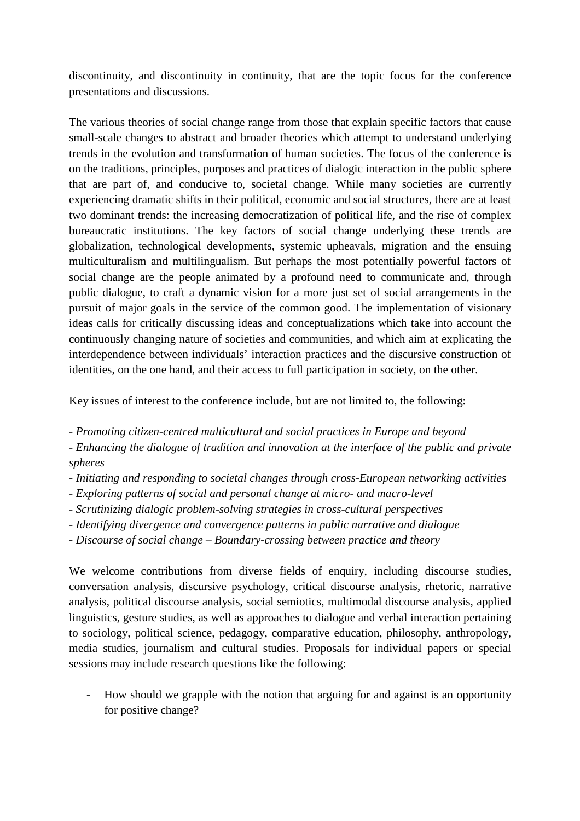discontinuity, and discontinuity in continuity, that are the topic focus for the conference presentations and discussions.

The various theories of social change range from those that explain specific factors that cause small-scale changes to abstract and broader theories which attempt to understand underlying trends in the evolution and transformation of human societies. The focus of the conference is on the traditions, principles, purposes and practices of dialogic interaction in the public sphere that are part of, and conducive to, societal change. While many societies are currently experiencing dramatic shifts in their political, economic and social structures, there are at least two dominant trends: the increasing democratization of political life, and the rise of complex bureaucratic institutions. The key factors of social change underlying these trends are globalization, technological developments, systemic upheavals, migration and the ensuing multiculturalism and multilingualism. But perhaps the most potentially powerful factors of social change are the people animated by a profound need to communicate and, through public dialogue, to craft a dynamic vision for a more just set of social arrangements in the pursuit of major goals in the service of the common good. The implementation of visionary ideas calls for critically discussing ideas and conceptualizations which take into account the continuously changing nature of societies and communities, and which aim at explicating the interdependence between individuals' interaction practices and the discursive construction of identities, on the one hand, and their access to full participation in society, on the other.

Key issues of interest to the conference include, but are not limited to, the following:

*- Promoting citizen-centred multicultural and social practices in Europe and beyond* 

*- Enhancing the dialogue of tradition and innovation at the interface of the public and private spheres* 

- *Initiating and responding to societal changes through cross-European networking activities*
- *Exploring patterns of social and personal change at micro- and macro-level*
- *Scrutinizing dialogic problem-solving strategies in cross-cultural perspectives*
- *Identifying divergence and convergence patterns in public narrative and dialogue*
- *Discourse of social change Boundary-crossing between practice and theory*

We welcome contributions from diverse fields of enquiry, including discourse studies, conversation analysis, discursive psychology, critical discourse analysis, rhetoric, narrative analysis, political discourse analysis, social semiotics, multimodal discourse analysis, applied linguistics, gesture studies, as well as approaches to dialogue and verbal interaction pertaining to sociology, political science, pedagogy, comparative education, philosophy, anthropology, media studies, journalism and cultural studies. Proposals for individual papers or special sessions may include research questions like the following:

- How should we grapple with the notion that arguing for and against is an opportunity for positive change?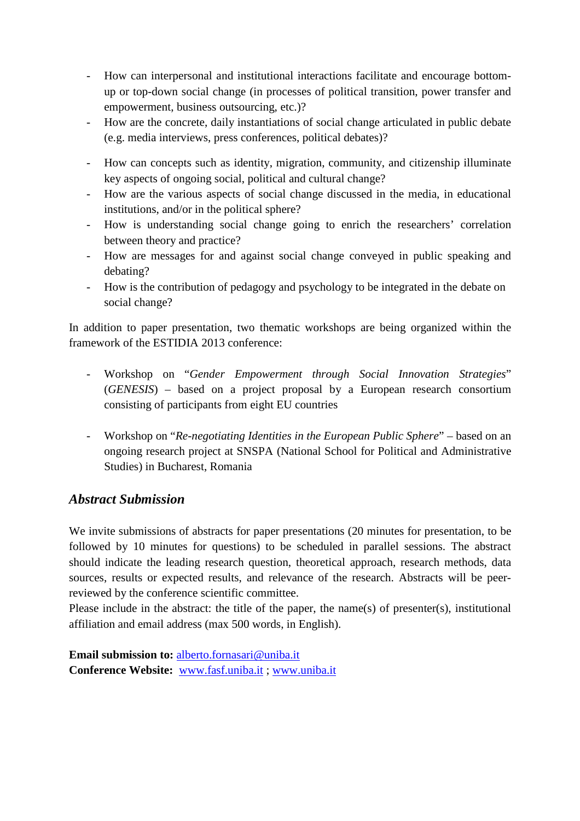- How can interpersonal and institutional interactions facilitate and encourage bottomup or top-down social change (in processes of political transition, power transfer and empowerment, business outsourcing, etc.)?
- How are the concrete, daily instantiations of social change articulated in public debate (e.g. media interviews, press conferences, political debates)?
- How can concepts such as identity, migration, community, and citizenship illuminate key aspects of ongoing social, political and cultural change?
- How are the various aspects of social change discussed in the media, in educational institutions, and/or in the political sphere?
- How is understanding social change going to enrich the researchers' correlation between theory and practice?
- How are messages for and against social change conveyed in public speaking and debating?
- How is the contribution of pedagogy and psychology to be integrated in the debate on social change?

In addition to paper presentation, two thematic workshops are being organized within the framework of the ESTIDIA 2013 conference:

- Workshop on "*Gender Empowerment through Social Innovation Strategies*" (*GENESIS*) – based on a project proposal by a European research consortium consisting of participants from eight EU countries
- Workshop on "*Re-negotiating Identities in the European Public Sphere*" based on an ongoing research project at SNSPA (National School for Political and Administrative Studies) in Bucharest, Romania

### *Abstract Submission*

We invite submissions of abstracts for paper presentations (20 minutes for presentation, to be followed by 10 minutes for questions) to be scheduled in parallel sessions. The abstract should indicate the leading research question, theoretical approach, research methods, data sources, results or expected results, and relevance of the research. Abstracts will be peerreviewed by the conference scientific committee.

Please include in the abstract: the title of the paper, the name(s) of presenter(s), institutional affiliation and email address (max 500 words, in English).

**Email submission to:** alberto.fornasari@uniba.it **Conference Website:** www.fasf.uniba.it ; www.uniba.it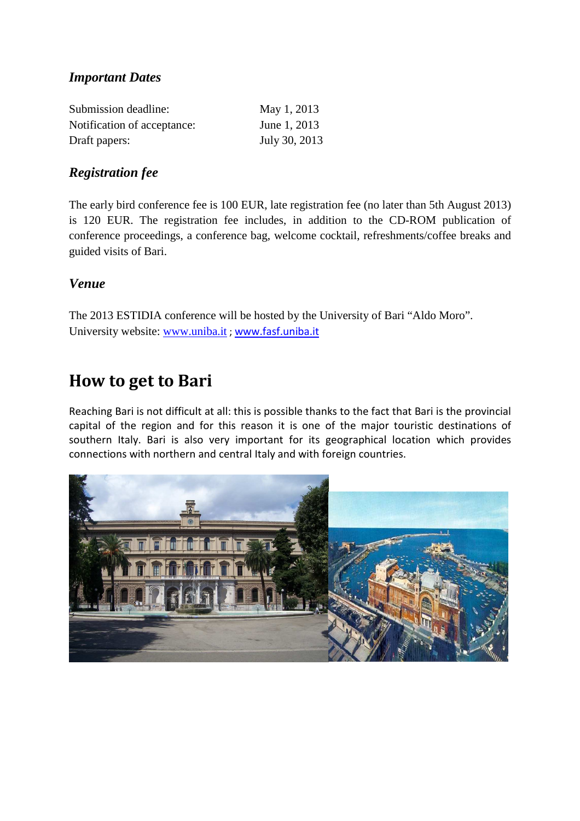### *Important Dates*

| Submission deadline:        | May 1, 2013   |
|-----------------------------|---------------|
| Notification of acceptance: | June 1, 2013  |
| Draft papers:               | July 30, 2013 |

### *Registration fee*

The early bird conference fee is 100 EUR, late registration fee (no later than 5th August 2013) is 120 EUR. The registration fee includes, in addition to the CD-ROM publication of conference proceedings, a conference bag, welcome cocktail, refreshments/coffee breaks and guided visits of Bari.

#### *Venue*

The 2013 ESTIDIA conference will be hosted by the University of Bari "Aldo Moro". University website: www.uniba.it ; www.fasf.uniba.it

# **How to get to Bari**

Reaching Bari is not difficult at all: this is possible thanks to the fact that Bari is the provincial capital of the region and for this reason it is one of the major touristic destinations of southern Italy. Bari is also very important for its geographical location which provides connections with northern and central Italy and with foreign countries.

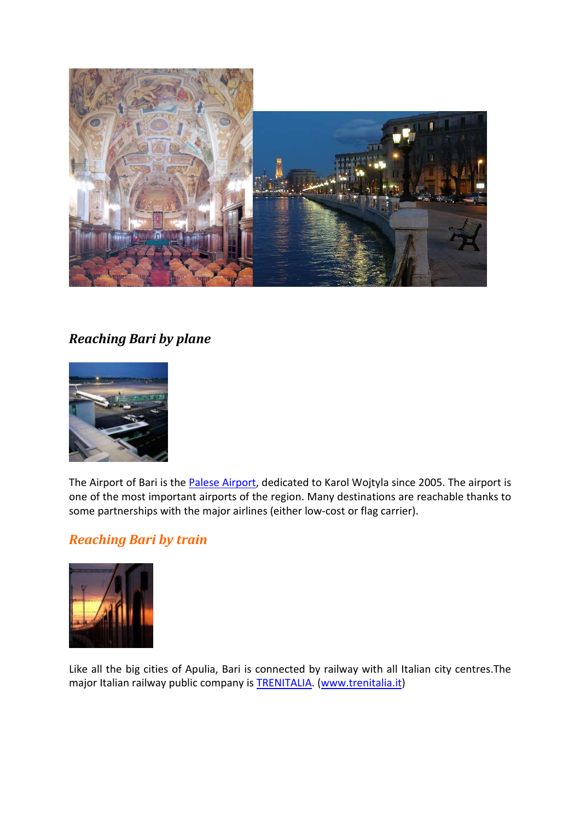

## *Reaching Bari by plane*



The Airport of Bari is the Palese Airport, dedicated to Karol Wojtyla since 2005. The airport is one of the most important airports of the region. Many destinations are reachable thanks to some partnerships with the major airlines (either low-cost or flag carrier).

## *Reaching Bari by train*



Like all the big cities of Apulia, Bari is connected by railway with all Italian city centres.The major Italian railway public company is **TRENITALIA**. (www.trenitalia.it)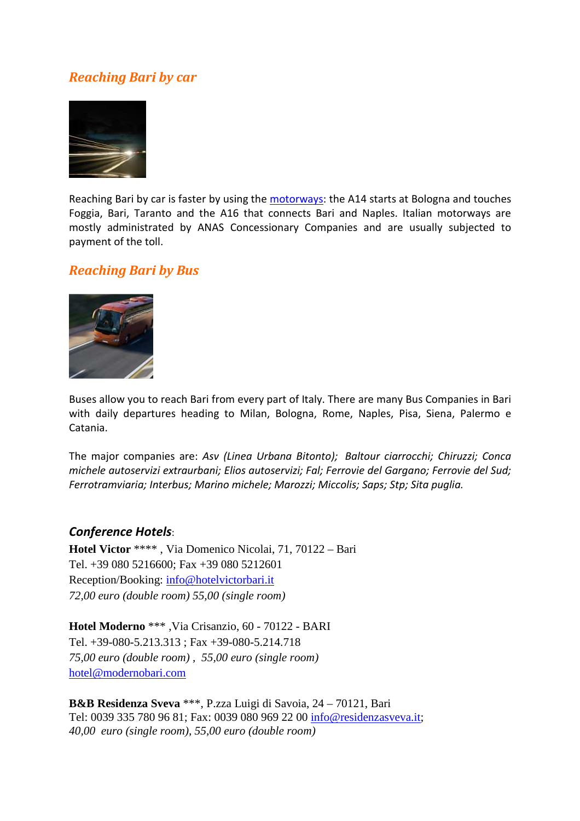### *Reaching Bari by car*



Reaching Bari by car is faster by using the motorways: the A14 starts at Bologna and touches Foggia, Bari, Taranto and the A16 that connects Bari and Naples. Italian motorways are mostly administrated by ANAS Concessionary Companies and are usually subjected to payment of the toll.

#### *Reaching Bari by Bus*



Buses allow you to reach Bari from every part of Italy. There are many Bus Companies in Bari with daily departures heading to Milan, Bologna, Rome, Naples, Pisa, Siena, Palermo e Catania.

The major companies are: *Asv (Linea Urbana Bitonto); Baltour ciarrocchi; Chiruzzi; Conca michele autoservizi extraurbani; Elios autoservizi; Fal; Ferrovie del Gargano; Ferrovie del Sud; Ferrotramviaria; Interbus; Marino michele; Marozzi; Miccolis; Saps; Stp; Sita puglia.* 

#### *Conference Hotels*:

**Hotel Victor** \*\*\*\* , Via Domenico Nicolai, 71, 70122 – Bari Tel. +39 080 5216600; Fax +39 080 5212601 Reception/Booking: info@hotelvictorbari.it *72,00 euro (double room) 55,00 (single room)* 

**Hotel Moderno** \*\*\* ,Via Crisanzio, 60 - 70122 - BARI Tel. +39-080-5.213.313 ; Fax +39-080-5.214.718 *75,00 euro (double room) , 55,00 euro (single room)*  hotel@modernobari.com

**B&B Residenza Sveva** \*\*\*, P.zza Luigi di Savoia, 24 – 70121, Bari Tel: 0039 335 780 96 81; Fax: 0039 080 969 22 00 info@residenzasveva.it; *40,00 euro (single room), 55,00 euro (double room)*